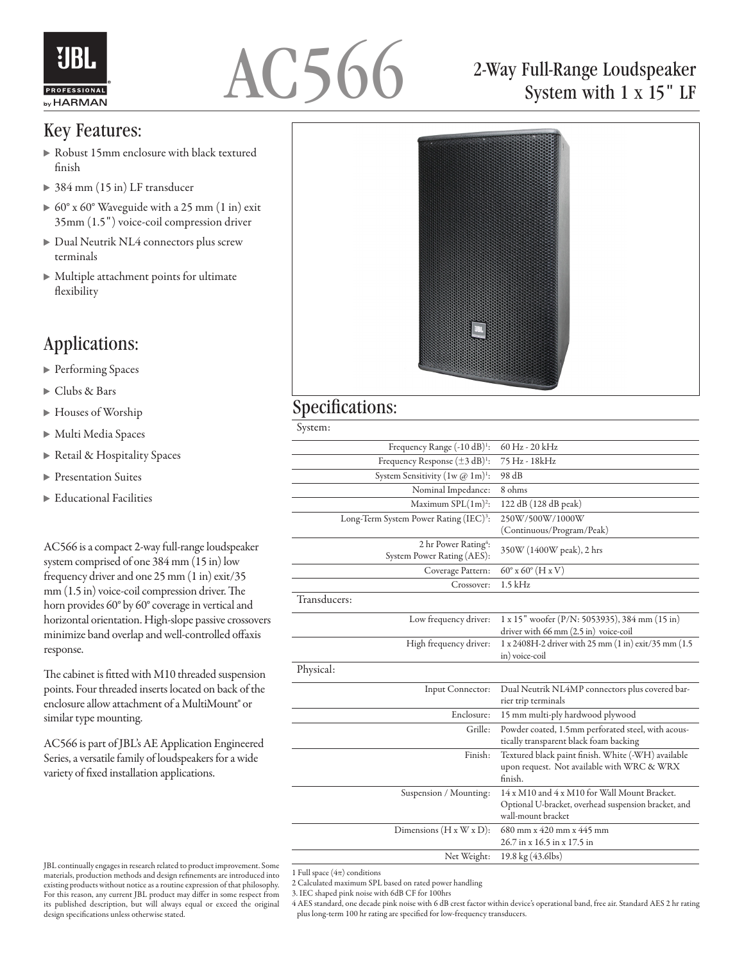



#### Key Features:

- Robust 15mm enclosure with black textured finish
- ▶ 384 mm (15 in) LF transducer
- 60° x 60° Waveguide with a 25 mm (1 in) exit 35mm (1.5") voice-coil compression driver
- Dual Neutrik NL4 connectors plus screw terminals
- Multiple attachment points for ultimate flexibility

### Applications:

- ▶ Performing Spaces
- Clubs & Bars
- Houses of Worship
- Multi Media Spaces
- ▶ Retail & Hospitality Spaces
- **Presentation Suites**
- Educational Facilities

AC566 is a compact 2-way full-range loudspeaker system comprised of one 384 mm (15 in) low frequency driver and one 25 mm (1 in) exit/35 mm (1.5 in) voice-coil compression driver. The horn provides 60° by 60° coverage in vertical and horizontal orientation. High-slope passive crossovers minimize band overlap and well-controlled offaxis response.

The cabinet is fitted with M10 threaded suspension points. Four threaded inserts located on back of the enclosure allow attachment of a MultiMount® or similar type mounting.

AC566 is part of JBL's AE Application Engineered Series, a versatile family of loudspeakers for a wide variety of fixed installation applications.

## 2-Way Full-Range Loudspeaker System with 1 x 15" LF



#### Specifications:

System:

| Frequency Range $(-10 dB)^1$ :                                 | 60 Hz - 20 kHz                                                                                                             |
|----------------------------------------------------------------|----------------------------------------------------------------------------------------------------------------------------|
| Frequency Response $(\pm 3 \text{ dB})^1$ :                    | 75 Hz - 18kHz                                                                                                              |
| System Sensitivity $(1w \, \textcircled{a} 1m)^1$ :            | 98 dB                                                                                                                      |
| Nominal Impedance:                                             | 8 ohms                                                                                                                     |
| Maximum $SPL(1m)^2$ :                                          | 122 dB (128 dB peak)                                                                                                       |
| Long-Term System Power Rating (IEC) <sup>3</sup> :             | 250W/500W/1000W                                                                                                            |
|                                                                | (Continuous/Program/Peak)                                                                                                  |
| 2 hr Power Rating <sup>4</sup> :<br>System Power Rating (AES): | 350W (1400W peak), 2 hrs                                                                                                   |
| Coverage Pattern:                                              | $60^{\circ}$ x $60^{\circ}$ (H x V)                                                                                        |
| Crossover:                                                     | $1.5$ kHz                                                                                                                  |
| Transducers:                                                   |                                                                                                                            |
| Low frequency driver:                                          | 1 x 15" woofer (P/N: 5053935), 384 mm (15 in)<br>driver with 66 mm (2.5 in) voice-coil                                     |
| High frequency driver:                                         | 1 x 2408H-2 driver with 25 mm (1 in) exit/35 mm (1.5)<br>in) voice-coil                                                    |
| Physical:                                                      |                                                                                                                            |
| Input Connector:                                               | Dual Neutrik NL4MP connectors plus covered bar-<br>rier trip terminals                                                     |
| Enclosure:                                                     | 15 mm multi-ply hardwood plywood                                                                                           |
| Grille:                                                        | Powder coated, 1.5mm perforated steel, with acous-<br>tically transparent black foam backing                               |
| Finish:                                                        | Textured black paint finish. White (-WH) available<br>upon request. Not available with WRC & WRX<br>finish.                |
| Suspension / Mounting:                                         | 14 x M10 and 4 x M10 for Wall Mount Bracket.<br>Optional U-bracket, overhead suspension bracket, and<br>wall-mount bracket |
| Dimensions $(H x W x D)$ :                                     | $680$ mm x 420 mm x 445 mm<br>26.7 in x 16.5 in x 17.5 in                                                                  |
| Net Weight:                                                    | 19.8 kg (43.6lbs)                                                                                                          |

1 Full space  $(4\pi)$  conditions

2 Calculated maximum SPL based on rated power handling

3. IEC shaped pink noise with 6dB CF for 100hrs

4 AES standard, one decade pink noise with 6 dB crest factor within device's operational band, free air. Standard AES 2 hr rating plus long-term 100 hr rating are specified for low-frequency transducers.

JBL continually engages in research related to product improvement. Some materials, production methods and design refinements are introduced into existing products without notice as a routine expression of that philosophy. For this reason, any current JBL product may differ in some respect from its published description, but will always equal or exceed the original design specifications unless otherwise stated.